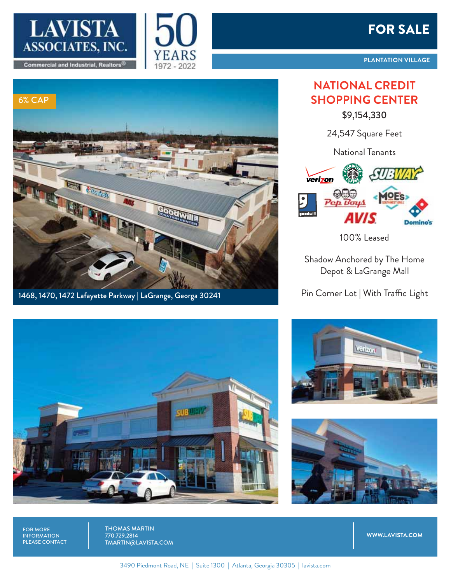





1468, 1470, 1472 Lafayette Parkway | LaGrange, Georga 30241

## FOR SALE

## **NATIONAL CREDIT SHOPPING CENTER**

\$9,154,330

24,547 Square Feet

National Tenants



100% Leased

Shadow Anchored by The Home Depot & LaGrange Mall

Pin Corner Lot | With Traffic Light







FOR MORE<br>INFORMATION **DI FASE CONTA** 

THOMAS MARTIN<br>770.729<u>.2814</u> **TMARTINGI** 

**WWW.LAVISTA.COM**